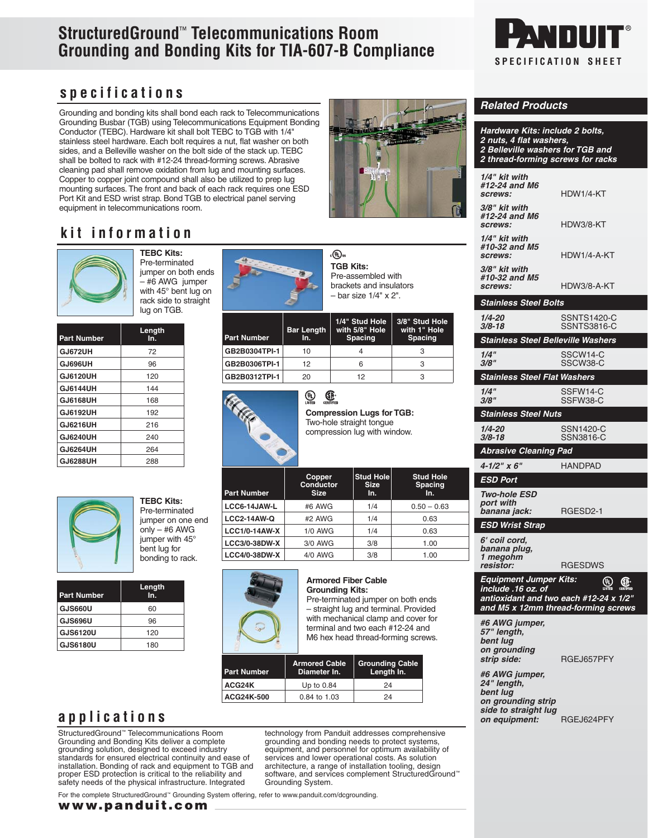# **StructuredGround**™ **Telecommunications Room Grounding and Bonding Kits for TIA-607-B Compliance**



**Related Products**

**1/4" kit with #12-24 and M6** 

**3/8" kit with #12-24 and M6** 

**1/4" kit with #10-32 and M5** 

**3/8" kit with #10-32 and M5** 

**Stainless Steel Bolts**

**Stainless Steel Nuts**

**Abrasive Cleaning Pad 4-1/2" x 6"** HANDPAD

**ESD Port Two-hole ESD port with** 

**ESD Wrist Strap 6' coil cord, banana plug, 1 megohm** 

**Hardware Kits: include 2 bolts, 2 nuts, 4 flat washers,**

**2 Belleville washers for TGB and 2 thread-forming screws for racks**

**screws:** HDW1/4-KT

**screws:** HDW3/8-KT

**screws:** HDW1/4-A-KT

**screws:** HDW3/8-A-KT

**1/4-20** SSNTS1420-C

**Stainless Steel Belleville Washers 1/4"** SSCW14-C

**Stainless Steel Flat Washers 1/4"** SSFW14-C **3/8"** SSFW38-C

**1/4-20** SSN1420-C

**banana jack:** RGESD2-1

**resistor:** RGESDWS **Equipment Jumper Kits: include .16 oz. of** 

**antioxidant and two each #12-24 x 1/2"**

**3/8-18** SSNTS3816-C

**3/8"** SSCW38-C

**3/8-18** SSN3816-C

## **specifications**

Grounding and bonding kits shall bond each rack to Telecommunications Grounding Busbar (TGB) using Telecommunications Equipment Bonding Conductor (TEBC). Hardware kit shall bolt TEBC to TGB with 1/4" stainless steel hardware. Each bolt requires a nut, flat washer on both sides, and a Belleville washer on the bolt side of the stack up. TEBC shall be bolted to rack with #12-24 thread-forming screws. Abrasive cleaning pad shall remove oxidation from lug and mounting surfaces. Copper to copper joint compound shall also be utilized to prep lug mounting surfaces. The front and back of each rack requires one ESD Port Kit and ESD wrist strap. Bond TGB to electrical panel serving equipment in telecommunications room.



# **kit information**



**TEBC Kits:** Pre-terminated jumper on both ends – #6 AWG jumper with 45° bent lug on rack side to straight lug on TGB.

| <b>Part Number</b> | Length<br>ln. |
|--------------------|---------------|
| GJ672UH            | 72            |
| GJ696UH            | 96            |
| <b>GJ6120UH</b>    | 120           |
| GJ6144UH           | 144           |
| GJ6168UH           | 168           |
| GJ6192UH           | 192           |
| GJ6216UH           | 216           |
| GJ6240UH           | 240           |
| GJ6264UH           | 264           |
| <b>GJ6288UH</b>    | 288           |



| . באורו ששם ו     |
|-------------------|
| Pre-terminated    |
| jumper on one end |
| only $-$ #6 AWG   |
| jumper with 45°   |
| bent lug for      |
| bonding to rack.  |
|                   |

**TEBC Kits:**

| <b>Part Number</b> | Length<br>In. |
|--------------------|---------------|
| GJS660U            | 60            |
| <b>GJS696U</b>     | 96            |
| <b>GJS6120U</b>    | 120           |
| <b>GJS6180U</b>    | 180           |

# **applications**

StructuredGround™ Telecommunications Room Grounding and Bonding Kits deliver a complete grounding solution, designed to exceed industry standards for ensured electrical continuity and ease of installation. Bonding of rack and equipment to TGB and proper ESD protection is critical to the reliability and safety needs of the physical infrastructure. Integrated

technology from Panduit addresses comprehensive grounding and bonding needs to protect systems, equipment, and personnel for optimum availability of services and lower operational costs. As solution<br>architecture, a range of installation tooling, design<br>software, and services complement StructuredGround™ Grounding System.

For the complete StructuredGround™ Grounding System offering, refer to www.panduit.com/dcgrounding.



∘.® **TGB Kits:** Pre-assembled with brackets and insulators – bar size 1/4" x 2".

| Part Number   | <b>Bar Length</b><br>In. | 1/4" Stud Hole<br>with 5/8" Hole<br><b>Spacing</b> | 3/8" Stud Hole<br>with 1" Hole<br><b>Spacing</b> |
|---------------|--------------------------|----------------------------------------------------|--------------------------------------------------|
| GB2B0304TPI-1 | 10                       |                                                    |                                                  |
| GB2B0306TPI-1 | 12                       |                                                    | З                                                |
| GB2B0312TPI-1 | 20                       | 12                                                 | З                                                |



**Par** 

#### **Compression Lugs for TGB:** Two-hole straight tongue compression lug with window.

| <b>Part Number</b>   | Copper<br>Conductor<br><b>Size</b> | Stud Hole<br><b>Size</b><br>In. | <b>Stud Hole</b><br>Spacing<br>In. |
|----------------------|------------------------------------|---------------------------------|------------------------------------|
| LCC6-14JAW-L         | #6 AWG                             | 1/4                             | $0.50 - 0.63$                      |
| <b>LCC2-14AW-Q</b>   | #2 AWG                             | 1/4                             | 0.63                               |
| <b>LCC1/0-14AW-X</b> | $1/0$ AWG                          | 1/4                             | 0.63                               |
| <b>LCC3/0-38DW-X</b> | 3/0 AWG                            | 3/8                             | 1.00                               |
| <b>LCC4/0-38DW-X</b> | 4/0 AWG                            | 3/8                             | 1.00                               |
|                      |                                    |                                 |                                    |



#### **Armored Fiber Cable Grounding Kits:**

Pre-terminated jumper on both ends – straight lug and terminal. Provided with mechanical clamp and cover for terminal and two each #12-24 and M6 hex head thread-forming screws.

| <b>Part Number</b> | <b>Armored Cable</b><br>Diameter In. | <b>Grounding Cable</b><br>Length In. |
|--------------------|--------------------------------------|--------------------------------------|
| ACG24K             | Up to 0.84                           | 24                                   |
| ACG24K-500         | 0.84 to 1.03                         | 24                                   |

| and mo x Tzinin uiread                                                   |    |
|--------------------------------------------------------------------------|----|
| #6 AWG jumper,<br>57" length,<br>bent lug<br>on grounding<br>strip side: | R0 |
| #6 AWG jumper,<br>24" length,                                            |    |

**strip side:** RGEJ657PFY

forming screws

⋓

**bent lug on grounding strip side to straight lug on equipment:** RGEJ624PFY